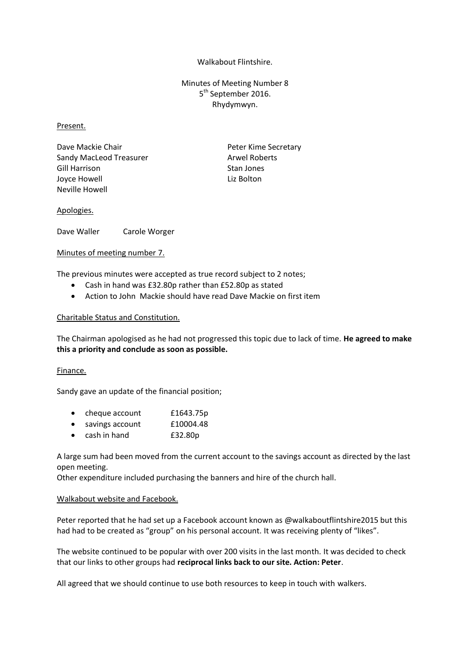## Walkabout Flintshire.

Minutes of Meeting Number 8 5<sup>th</sup> September 2016. Rhydymwyn.

#### Present.

Dave Mackie Chair **Peter Kime Secretary** Sandy MacLeod Treasurer Arwel Roberts Gill Harrison Stan Jones Joyce Howell **Liz Bolton** Neville Howell

## Apologies.

Dave Waller Carole Worger

## Minutes of meeting number 7.

The previous minutes were accepted as true record subject to 2 notes;

- Cash in hand was £32.80p rather than £52.80p as stated
- Action to John Mackie should have read Dave Mackie on first item

## Charitable Status and Constitution.

The Chairman apologised as he had not progressed this topic due to lack of time. **He agreed to make this a priority and conclude as soon as possible.**

#### Finance.

Sandy gave an update of the financial position;

| $\bullet$ | cheque account  | £1643.75p |
|-----------|-----------------|-----------|
|           | savings account | £10004.48 |

cash in hand £32.80p

A large sum had been moved from the current account to the savings account as directed by the last open meeting.

Other expenditure included purchasing the banners and hire of the church hall.

#### Walkabout website and Facebook.

Peter reported that he had set up a Facebook account known as @walkaboutflintshire2015 but this had had to be created as "group" on his personal account. It was receiving plenty of "likes".

The website continued to be popular with over 200 visits in the last month. It was decided to check that our links to other groups had **reciprocal links back to our site. Action: Peter**.

All agreed that we should continue to use both resources to keep in touch with walkers.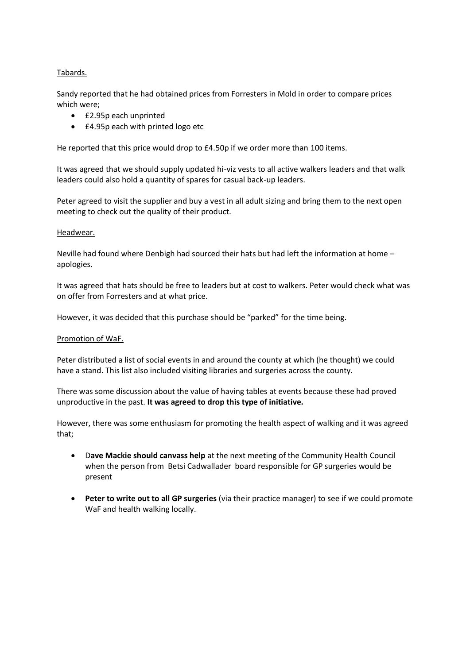# Tabards.

Sandy reported that he had obtained prices from Forresters in Mold in order to compare prices which were;

- £2.95p each unprinted
- **£4.95p each with printed logo etc**

He reported that this price would drop to £4.50p if we order more than 100 items.

It was agreed that we should supply updated hi-viz vests to all active walkers leaders and that walk leaders could also hold a quantity of spares for casual back-up leaders.

Peter agreed to visit the supplier and buy a vest in all adult sizing and bring them to the next open meeting to check out the quality of their product.

## Headwear.

Neville had found where Denbigh had sourced their hats but had left the information at home – apologies.

It was agreed that hats should be free to leaders but at cost to walkers. Peter would check what was on offer from Forresters and at what price.

However, it was decided that this purchase should be "parked" for the time being.

#### Promotion of WaF.

Peter distributed a list of social events in and around the county at which (he thought) we could have a stand. This list also included visiting libraries and surgeries across the county.

There was some discussion about the value of having tables at events because these had proved unproductive in the past. **It was agreed to drop this type of initiative.**

However, there was some enthusiasm for promoting the health aspect of walking and it was agreed that;

- D**ave Mackie should canvass help** at the next meeting of the Community Health Council when the person from Betsi Cadwallader board responsible for GP surgeries would be present
- **Peter to write out to all GP surgeries** (via their practice manager) to see if we could promote WaF and health walking locally.